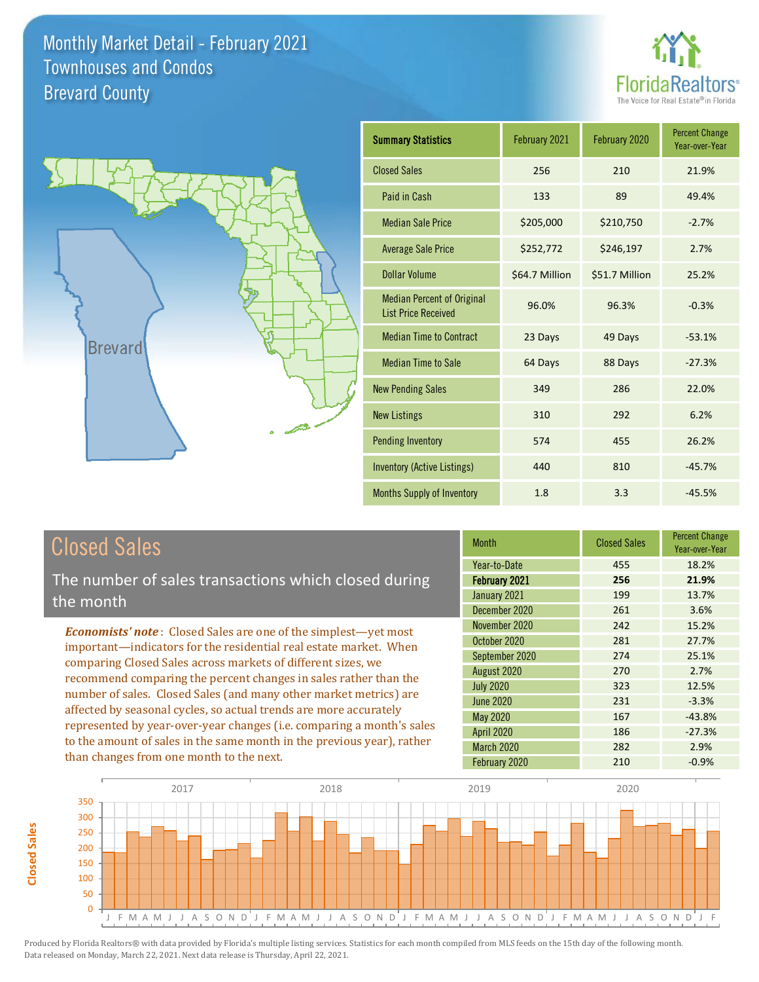



| <b>Summary Statistics</b>                                       | February 2021  | February 2020  | <b>Percent Change</b><br>Year-over-Year |
|-----------------------------------------------------------------|----------------|----------------|-----------------------------------------|
| <b>Closed Sales</b>                                             | 256            | 210            | 21.9%                                   |
| Paid in Cash                                                    | 133            | 89             | 49.4%                                   |
| <b>Median Sale Price</b>                                        | \$205,000      | \$210,750      | $-2.7%$                                 |
| <b>Average Sale Price</b>                                       | \$252,772      | \$246,197      | 2.7%                                    |
| <b>Dollar Volume</b>                                            | \$64.7 Million | \$51.7 Million | 25.2%                                   |
| <b>Median Percent of Original</b><br><b>List Price Received</b> | 96.0%          | 96.3%          | $-0.3%$                                 |
| <b>Median Time to Contract</b>                                  | 23 Days        | 49 Days        | $-53.1%$                                |
| <b>Median Time to Sale</b>                                      | 64 Days        | 88 Days        | $-27.3%$                                |
| <b>New Pending Sales</b>                                        | 349            | 286            | 22.0%                                   |
| <b>New Listings</b>                                             | 310            | 292            | 6.2%                                    |
| <b>Pending Inventory</b>                                        | 574            | 455            | 26.2%                                   |
| <b>Inventory (Active Listings)</b>                              | 440            | 810            | $-45.7%$                                |
| <b>Months Supply of Inventory</b>                               | 1.8            | 3.3            | $-45.5%$                                |

## Closed Sales

The number of sales transactions which closed during the month

*Economists' note* : Closed Sales are one of the simplest—yet most important—indicators for the residential real estate market. When comparing Closed Sales across markets of different sizes, we recommend comparing the percent changes in sales rather than the number of sales. Closed Sales (and many other market metrics) are affected by seasonal cycles, so actual trends are more accurately represented by year-over-year changes (i.e. comparing a month's sales to the amount of sales in the same month in the previous year), rather than changes from one month to the next.

| <b>Month</b>      | <b>Closed Sales</b> | <b>Percent Change</b><br>Year-over-Year |
|-------------------|---------------------|-----------------------------------------|
| Year-to-Date      | 455                 | 18.2%                                   |
| February 2021     | 256                 | 21.9%                                   |
| January 2021      | 199                 | 13.7%                                   |
| December 2020     | 261                 | 3.6%                                    |
| November 2020     | 242                 | 15.2%                                   |
| October 2020      | 281                 | 27.7%                                   |
| September 2020    | 274                 | 25.1%                                   |
| August 2020       | 270                 | 2.7%                                    |
| <b>July 2020</b>  | 323                 | 12.5%                                   |
| <b>June 2020</b>  | 231                 | $-3.3%$                                 |
| <b>May 2020</b>   | 167                 | $-43.8%$                                |
| <b>April 2020</b> | 186                 | $-27.3%$                                |
| <b>March 2020</b> | 282                 | 2.9%                                    |
| February 2020     | 210                 | $-0.9%$                                 |

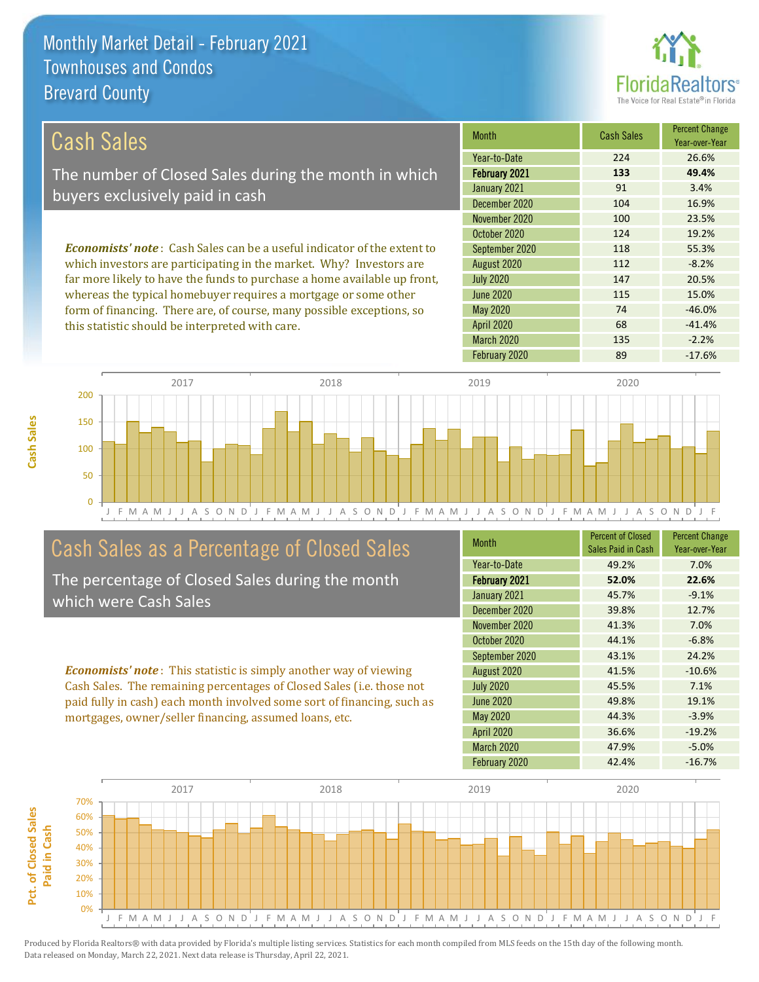this statistic should be interpreted with care.



68 -41.4%

| Cash Sales                                                                     | <b>Month</b>     | <b>Cash Sales</b> | <b>Percent Change</b><br>Year-over-Year |
|--------------------------------------------------------------------------------|------------------|-------------------|-----------------------------------------|
|                                                                                | Year-to-Date     | 224               | 26.6%                                   |
| The number of Closed Sales during the month in which                           | February 2021    | 133               | 49.4%                                   |
| buyers exclusively paid in cash                                                | January 2021     | 91                | 3.4%                                    |
|                                                                                | December 2020    | 104               | 16.9%                                   |
|                                                                                | November 2020    | 100               | 23.5%                                   |
|                                                                                | October 2020     | 124               | 19.2%                                   |
| <b>Economists' note:</b> Cash Sales can be a useful indicator of the extent to | September 2020   | 118               | 55.3%                                   |
| which investors are participating in the market. Why? Investors are            | August 2020      | 112               | $-8.2%$                                 |
| far more likely to have the funds to purchase a home available up front,       | <b>July 2020</b> | 147               | 20.5%                                   |
| whereas the typical homebuyer requires a mortgage or some other                | <b>June 2020</b> | 115               | 15.0%                                   |
| form of financing. There are, of course, many possible exceptions, so          | May 2020         | 74                | $-46.0%$                                |



## Cash Sales as a Percentage of Closed Sales

The percentage of Closed Sales during the month which were Cash Sales

*Economists' note* : This statistic is simply another way of viewing Cash Sales. The remaining percentages of Closed Sales (i.e. those not paid fully in cash) each month involved some sort of financing, such as mortgages, owner/seller financing, assumed loans, etc.

| <b>Month</b>         | <b>Percent of Closed</b><br>Sales Paid in Cash | <b>Percent Change</b><br>Year-over-Year |
|----------------------|------------------------------------------------|-----------------------------------------|
| Year-to-Date         | 49.2%                                          | 7.0%                                    |
| <b>February 2021</b> | 52.0%                                          | 22.6%                                   |
| January 2021         | 45.7%                                          | $-9.1%$                                 |
| December 2020        | 39.8%                                          | 12.7%                                   |
| November 2020        | 41.3%                                          | 7.0%                                    |
| October 2020         | 44.1%                                          | $-6.8%$                                 |
| September 2020       | 43.1%                                          | 24.2%                                   |
| August 2020          | 41.5%                                          | $-10.6%$                                |
| <b>July 2020</b>     | 45.5%                                          | 7.1%                                    |
| <b>June 2020</b>     | 49.8%                                          | 19.1%                                   |
| May 2020             | 44.3%                                          | $-3.9%$                                 |
| <b>April 2020</b>    | 36.6%                                          | $-19.2%$                                |
| <b>March 2020</b>    | 47.9%                                          | $-5.0%$                                 |
| February 2020        | 42.4%                                          | $-16.7%$                                |

February 2020 89 -17.6%

March 2020 135 -2.2%

April 2020



**Cash Sales**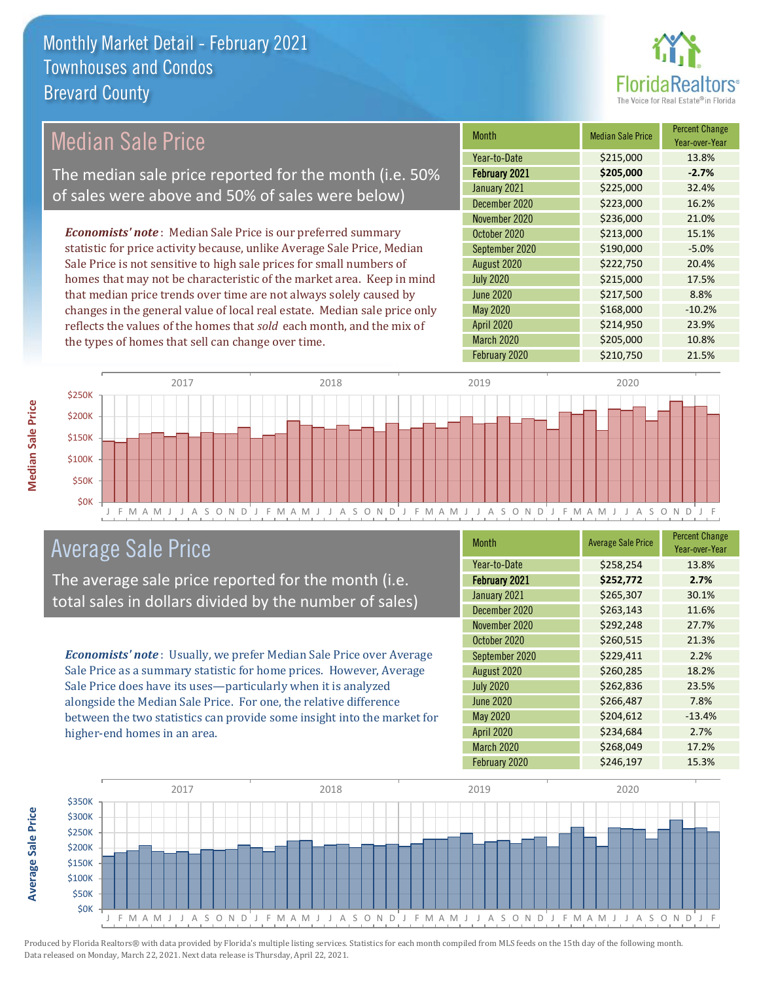

## Median Sale Price

The median sale price reported for the month (i.e. 50% of sales were above and 50% of sales were below)

*Economists' note* : Median Sale Price is our preferred summary statistic for price activity because, unlike Average Sale Price, Median Sale Price is not sensitive to high sale prices for small numbers of homes that may not be characteristic of the market area. Keep in mind that median price trends over time are not always solely caused by changes in the general value of local real estate. Median sale price only reflects the values of the homes that *sold* each month, and the mix of the types of homes that sell can change over time.

| <b>Month</b>     | <b>Median Sale Price</b> | <b>Percent Change</b><br>Year-over-Year |
|------------------|--------------------------|-----------------------------------------|
| Year-to-Date     | \$215,000                | 13.8%                                   |
| February 2021    | \$205,000                | $-2.7%$                                 |
| January 2021     | \$225,000                | 32.4%                                   |
| December 2020    | \$223,000                | 16.2%                                   |
| November 2020    | \$236,000                | 21.0%                                   |
| October 2020     | \$213,000                | 15.1%                                   |
| September 2020   | \$190,000                | $-5.0%$                                 |
| August 2020      | \$222,750                | 20.4%                                   |
| <b>July 2020</b> | \$215,000                | 17.5%                                   |
| <b>June 2020</b> | \$217,500                | 8.8%                                    |
| May 2020         | \$168,000                | $-10.2%$                                |
| April 2020       | \$214,950                | 23.9%                                   |
| March 2020       | \$205,000                | 10.8%                                   |
| February 2020    | \$210,750                | 21.5%                                   |



## Average Sale Price

The average sale price reported for the month (i.e. total sales in dollars divided by the number of sales)

*Economists' note* : Usually, we prefer Median Sale Price over Average Sale Price as a summary statistic for home prices. However, Average Sale Price does have its uses—particularly when it is analyzed alongside the Median Sale Price. For one, the relative difference between the two statistics can provide some insight into the market for higher-end homes in an area.

| <b>Month</b>         | <b>Average Sale Price</b> | <b>Percent Change</b><br>Year-over-Year |
|----------------------|---------------------------|-----------------------------------------|
| Year-to-Date         | \$258,254                 | 13.8%                                   |
| <b>February 2021</b> | \$252,772                 | 2.7%                                    |
| January 2021         | \$265,307                 | 30.1%                                   |
| December 2020        | \$263,143                 | 11.6%                                   |
| November 2020        | \$292,248                 | 27.7%                                   |
| October 2020         | \$260,515                 | 21.3%                                   |
| September 2020       | \$229,411                 | 2.2%                                    |
| August 2020          | \$260,285                 | 18.2%                                   |
| <b>July 2020</b>     | \$262,836                 | 23.5%                                   |
| <b>June 2020</b>     | \$266,487                 | 7.8%                                    |
| <b>May 2020</b>      | \$204,612                 | $-13.4%$                                |
| <b>April 2020</b>    | \$234,684                 | 2.7%                                    |
| March 2020           | \$268,049                 | 17.2%                                   |
| February 2020        | \$246,197                 | 15.3%                                   |

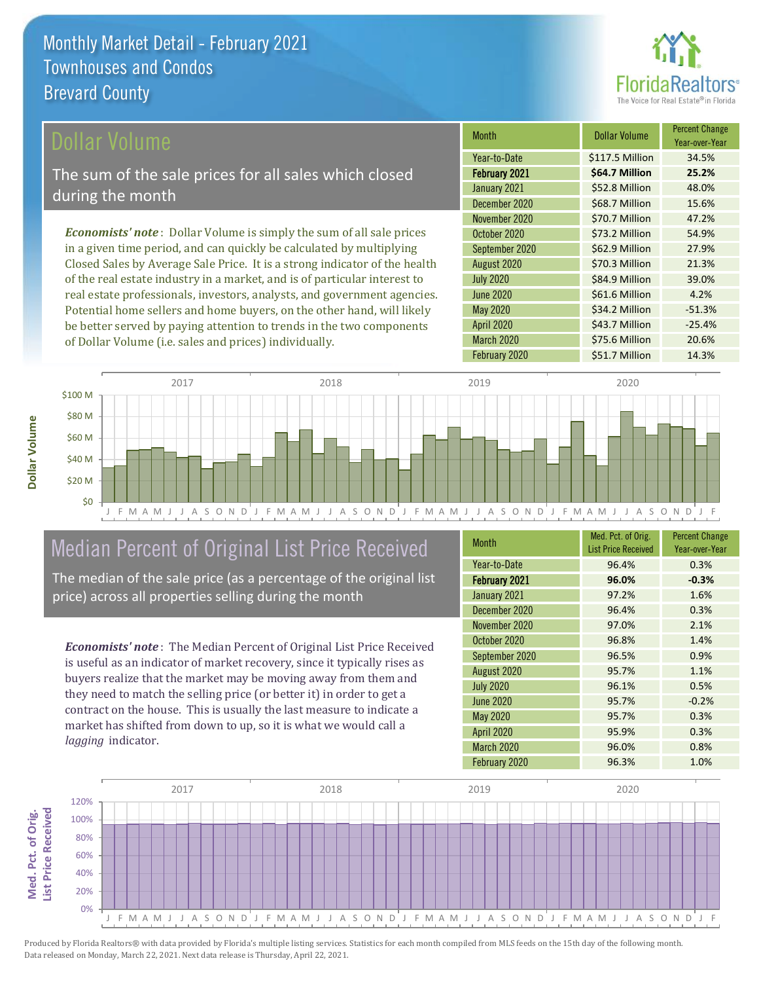

Year-over-Year

39.0%

\$34.2 Million -51.3%

\$43.7 Million -25.4%

Month **Dollar Volume** Percent Change

February 2021 **\$64.7 Million 25.2%** Year-to-Date \$117.5 Million 34.5%

January 2021 **\$52.8 Million 48.0%** December 2020 \$68.7 Million 15.6%

November 2020 **\$70.7 Million** 47.2% October 2020 **\$73.2 Million** 54.9% September 2020 \$62.9 Million 27.9% August 2020 <br>  $\begin{array}{|c|c|c|c|c|}\n\hline\n\text{$570.3 million} & \text{21.3\%} \\
\hline\n\end{array}$ 

February 2020 \$51.7 Million 14.3%

March 2020 \$75.6 Million 20.6%

June 2020 \$61.6 Million 4.2%

July 2020 **\$84.9 Million** 

April 2020

May 2020

#### ollar Volume

The sum of the sale prices for all sales which closed during the month

*Economists' note* : Dollar Volume is simply the sum of all sale prices in a given time period, and can quickly be calculated by multiplying Closed Sales by Average Sale Price. It is a strong indicator of the health of the real estate industry in a market, and is of particular interest to real estate professionals, investors, analysts, and government agencies. Potential home sellers and home buyers, on the other hand, will likely be better served by paying attention to trends in the two components of Dollar Volume (i.e. sales and prices) individually.



## Median Percent of Original List Price Received

The median of the sale price (as a percentage of the original list price) across all properties selling during the month

*Economists' note* : The Median Percent of Original List Price Received is useful as an indicator of market recovery, since it typically rises as buyers realize that the market may be moving away from them and they need to match the selling price (or better it) in order to get a contract on the house. This is usually the last measure to indicate a market has shifted from down to up, so it is what we would call a *lagging* indicator.

| <b>Month</b>         | Med. Pct. of Orig.<br><b>List Price Received</b> | <b>Percent Change</b><br>Year-over-Year |
|----------------------|--------------------------------------------------|-----------------------------------------|
| Year-to-Date         | 96.4%                                            | 0.3%                                    |
| <b>February 2021</b> | 96.0%                                            | $-0.3%$                                 |
| January 2021         | 97.2%                                            | 1.6%                                    |
| December 2020        | 96.4%                                            | 0.3%                                    |
| November 2020        | 97.0%                                            | 2.1%                                    |
| October 2020         | 96.8%                                            | 1.4%                                    |
| September 2020       | 96.5%                                            | 0.9%                                    |
| August 2020          | 95.7%                                            | 1.1%                                    |
| <b>July 2020</b>     | 96.1%                                            | 0.5%                                    |
| June 2020            | 95.7%                                            | $-0.2%$                                 |
| May 2020             | 95.7%                                            | 0.3%                                    |
| <b>April 2020</b>    | 95.9%                                            | 0.3%                                    |
| <b>March 2020</b>    | 96.0%                                            | 0.8%                                    |
| February 2020        | 96.3%                                            | 1.0%                                    |

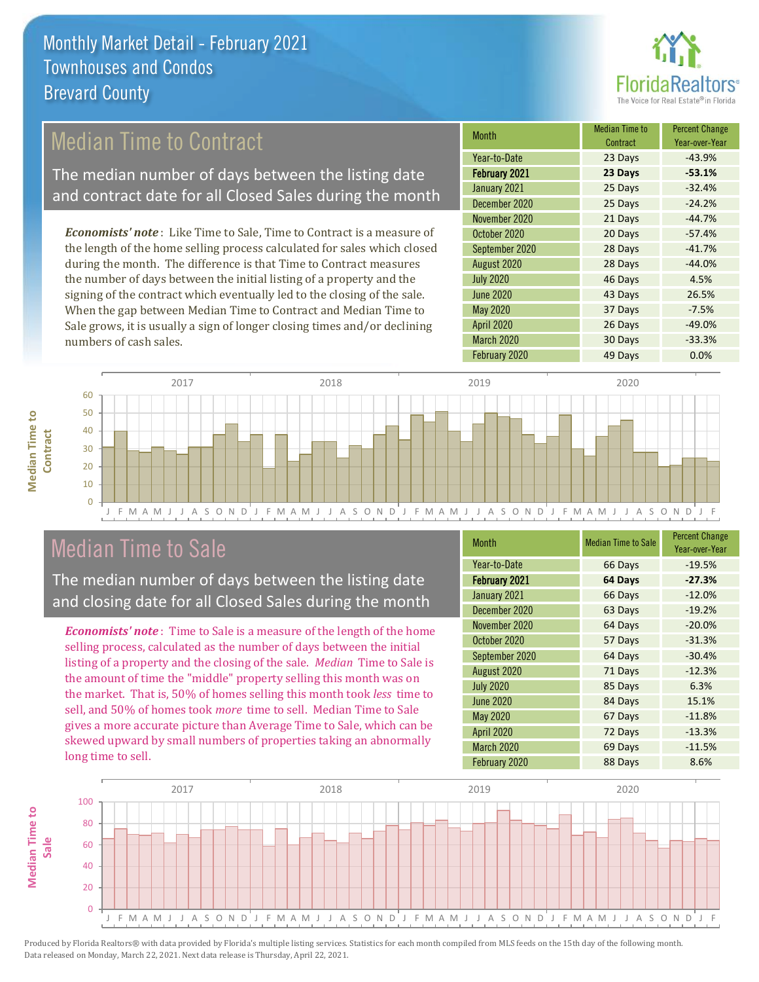

## Median Time to Contract

The median number of days between the listing date and contract date for all Closed Sales during the month

*Economists' note* : Like Time to Sale, Time to Contract is a measure of the length of the home selling process calculated for sales which closed during the month. The difference is that Time to Contract measures the number of days between the initial listing of a property and the signing of the contract which eventually led to the closing of the sale. When the gap between Median Time to Contract and Median Time to Sale grows, it is usually a sign of longer closing times and/or declining numbers of cash sales.

| <b>Month</b>         | <b>Median Time to</b><br>Contract | <b>Percent Change</b><br>Year-over-Year |
|----------------------|-----------------------------------|-----------------------------------------|
| Year-to-Date         | 23 Days                           | $-43.9%$                                |
| <b>February 2021</b> | 23 Days                           | $-53.1%$                                |
| January 2021         | 25 Days                           | $-32.4%$                                |
| December 2020        | 25 Days                           | $-24.2%$                                |
| November 2020        | 21 Days                           | $-44.7%$                                |
| October 2020         | 20 Days                           | $-57.4%$                                |
| September 2020       | 28 Days                           | $-41.7%$                                |
| August 2020          | 28 Days                           | $-44.0%$                                |
| <b>July 2020</b>     | 46 Days                           | 4.5%                                    |
| <b>June 2020</b>     | 43 Days                           | 26.5%                                   |
| May 2020             | 37 Days                           | $-7.5%$                                 |
| April 2020           | 26 Days                           | $-49.0%$                                |
| March 2020           | 30 Days                           | $-33.3%$                                |
| February 2020        | 49 Days                           | 0.0%                                    |



## Median Time to Sale

**Median Time to Contract**

**Median Time to** 

The median number of days between the listing date and closing date for all Closed Sales during the month

*Economists' note* : Time to Sale is a measure of the length of the home selling process, calculated as the number of days between the initial listing of a property and the closing of the sale. *Median* Time to Sale is the amount of time the "middle" property selling this month was on the market. That is, 50% of homes selling this month took *less* time to sell, and 50% of homes took *more* time to sell. Median Time to Sale gives a more accurate picture than Average Time to Sale, which can be skewed upward by small numbers of properties taking an abnormally long time to sell.

| <b>Month</b>         | <b>Median Time to Sale</b> | <b>Percent Change</b><br>Year-over-Year |
|----------------------|----------------------------|-----------------------------------------|
| Year-to-Date         | 66 Days                    | $-19.5%$                                |
| <b>February 2021</b> | 64 Days                    | $-27.3%$                                |
| January 2021         | 66 Days                    | $-12.0%$                                |
| December 2020        | 63 Days                    | $-19.2%$                                |
| November 2020        | 64 Days                    | $-20.0%$                                |
| October 2020         | 57 Days                    | $-31.3%$                                |
| September 2020       | 64 Days                    | $-30.4%$                                |
| August 2020          | 71 Days                    | $-12.3%$                                |
| <b>July 2020</b>     | 85 Days                    | 6.3%                                    |
| <b>June 2020</b>     | 84 Days                    | 15.1%                                   |
| May 2020             | 67 Days                    | $-11.8%$                                |
| <b>April 2020</b>    | 72 Days                    | $-13.3%$                                |
| March 2020           | 69 Days                    | $-11.5%$                                |
| February 2020        | 88 Days                    | 8.6%                                    |

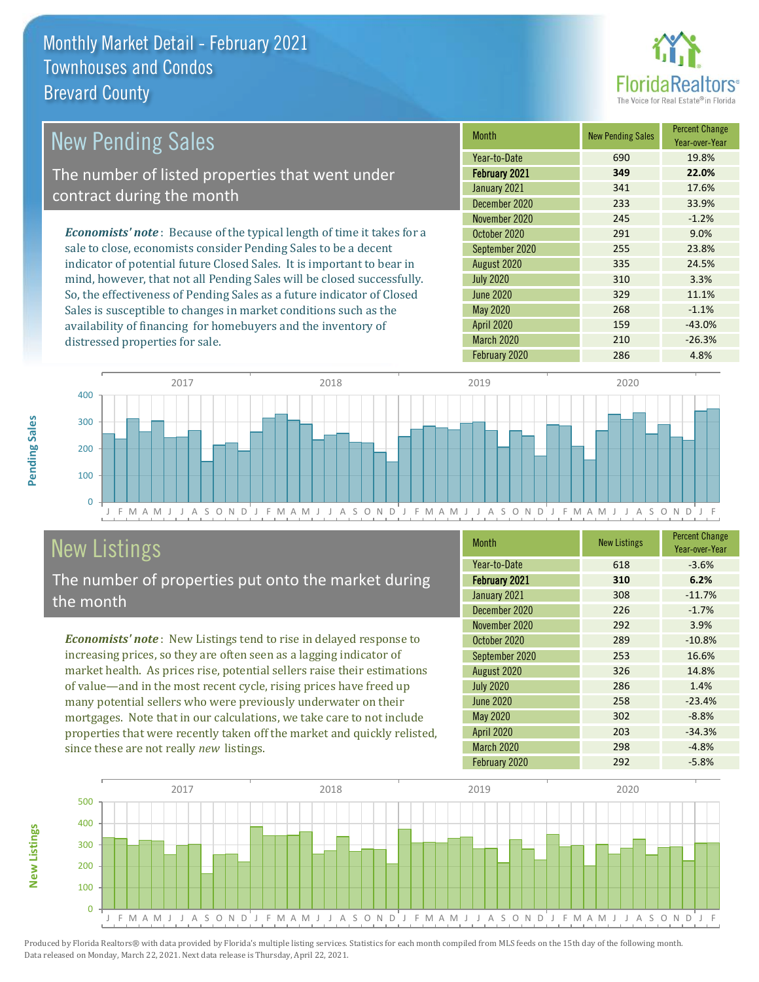

| New Pending Sales                                                              | <b>Month</b>     | <b>New Pending Sales</b> | <b>Percent Change</b><br>Year-over-Year |
|--------------------------------------------------------------------------------|------------------|--------------------------|-----------------------------------------|
|                                                                                | Year-to-Date     | 690                      | 19.8%                                   |
| The number of listed properties that went under                                | February 2021    | 349                      | 22.0%                                   |
| contract during the month                                                      | January 2021     | 341                      | 17.6%                                   |
|                                                                                | December 2020    | 233                      | 33.9%                                   |
|                                                                                | November 2020    | 245                      | $-1.2%$                                 |
| <b>Economists' note</b> : Because of the typical length of time it takes for a | October 2020     | 291                      | 9.0%                                    |
| sale to close, economists consider Pending Sales to be a decent                | September 2020   | 255                      | 23.8%                                   |
| indicator of potential future Closed Sales. It is important to bear in         | August 2020      | 335                      | 24.5%                                   |
| mind, however, that not all Pending Sales will be closed successfully.         | <b>July 2020</b> | 310                      | 3.3%                                    |
| So, the effectiveness of Pending Sales as a future indicator of Closed         | June 2020        | 329                      | 11.1%                                   |
| Sales is susceptible to changes in market conditions such as the               | May 2020         | 268                      | $-1.1%$                                 |



# New Listings

distressed properties for sale.

The number of properties put onto the market during the month

availability of financing for homebuyers and the inventory of

*Economists' note* : New Listings tend to rise in delayed response to increasing prices, so they are often seen as a lagging indicator of market health. As prices rise, potential sellers raise their estimations of value—and in the most recent cycle, rising prices have freed up many potential sellers who were previously underwater on their mortgages. Note that in our calculations, we take care to not include properties that were recently taken off the market and quickly relisted, since these are not really *new* listings.

| <b>Month</b>     | <b>New Listings</b> | <b>Percent Change</b><br>Year-over-Year |
|------------------|---------------------|-----------------------------------------|
| Year-to-Date     | 618                 | $-3.6%$                                 |
| February 2021    | 310                 | 6.2%                                    |
| January 2021     | 308                 | $-11.7%$                                |
| December 2020    | 226                 | $-1.7%$                                 |
| November 2020    | 292                 | 3.9%                                    |
| October 2020     | 289                 | $-10.8%$                                |
| September 2020   | 253                 | 16.6%                                   |
| August 2020      | 326                 | 14.8%                                   |
| <b>July 2020</b> | 286                 | 1.4%                                    |
| <b>June 2020</b> | 258                 | $-23.4%$                                |
| <b>May 2020</b>  | 302                 | $-8.8%$                                 |
| April 2020       | 203                 | $-34.3%$                                |
| March 2020       | 298                 | $-4.8%$                                 |
| February 2020    | 292                 | $-5.8%$                                 |

April 2020 159 159 -43.0% March 2020 210 210 -26.3% February 2020 286 286 4.8%



**New Listings**

Pending Sales **Pending Sales**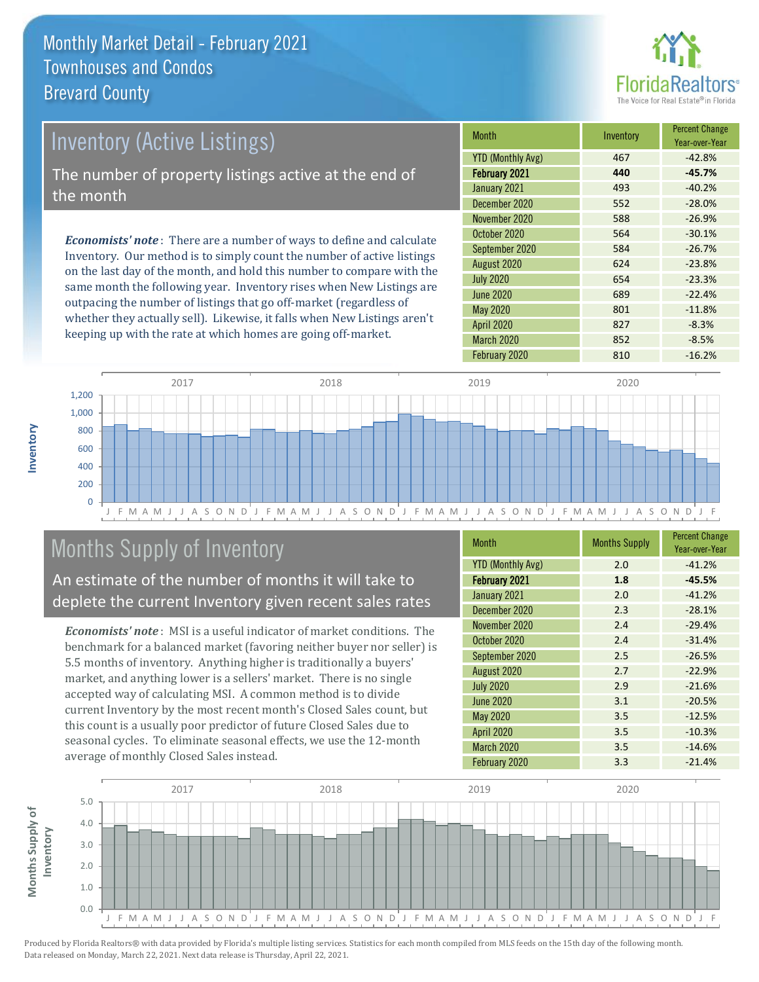

# *Economists' note* : There are a number of ways to define and calculate Inventory (Active Listings) The number of property listings active at the end of the month

Inventory. Our method is to simply count the number of active listings on the last day of the month, and hold this number to compare with the same month the following year. Inventory rises when New Listings are outpacing the number of listings that go off-market (regardless of whether they actually sell). Likewise, it falls when New Listings aren't keeping up with the rate at which homes are going off-market.

| <b>Month</b>             | Inventory | <b>Percent Change</b><br>Year-over-Year |
|--------------------------|-----------|-----------------------------------------|
| <b>YTD (Monthly Avg)</b> | 467       | $-42.8%$                                |
| <b>February 2021</b>     | 440       | $-45.7%$                                |
| January 2021             | 493       | $-40.2%$                                |
| December 2020            | 552       | $-28.0%$                                |
| November 2020            | 588       | $-26.9%$                                |
| October 2020             | 564       | $-30.1%$                                |
| September 2020           | 584       | $-26.7%$                                |
| August 2020              | 624       | $-23.8%$                                |
| <b>July 2020</b>         | 654       | $-23.3%$                                |
| <b>June 2020</b>         | 689       | $-22.4%$                                |
| <b>May 2020</b>          | 801       | $-11.8%$                                |
| <b>April 2020</b>        | 827       | $-8.3%$                                 |
| <b>March 2020</b>        | 852       | $-8.5%$                                 |
| February 2020            | 810       | $-16.2%$                                |



## Months Supply of Inventory

An estimate of the number of months it will take to deplete the current Inventory given recent sales rates

*Economists' note* : MSI is a useful indicator of market conditions. The benchmark for a balanced market (favoring neither buyer nor seller) is 5.5 months of inventory. Anything higher is traditionally a buyers' market, and anything lower is a sellers' market. There is no single accepted way of calculating MSI. A common method is to divide current Inventory by the most recent month's Closed Sales count, but this count is a usually poor predictor of future Closed Sales due to seasonal cycles. To eliminate seasonal effects, we use the 12-month average of monthly Closed Sales instead.

| Month                    | <b>Months Supply</b> | <b>Percent Change</b><br>Year-over-Year |
|--------------------------|----------------------|-----------------------------------------|
| <b>YTD (Monthly Avg)</b> | 2.0                  | $-41.2%$                                |
| <b>February 2021</b>     | 1.8                  | $-45.5%$                                |
| January 2021             | 2.0                  | $-41.2%$                                |
| December 2020            | 2.3                  | $-28.1%$                                |
| November 2020            | 2.4                  | $-29.4%$                                |
| October 2020             | 2.4                  | $-31.4%$                                |
| September 2020           | 2.5                  | $-26.5%$                                |
| August 2020              | 2.7                  | $-22.9%$                                |
| <b>July 2020</b>         | 2.9                  | $-21.6%$                                |
| June 2020                | 3.1                  | $-20.5%$                                |
| <b>May 2020</b>          | 3.5                  | $-12.5%$                                |
| April 2020               | 3.5                  | $-10.3%$                                |
| March 2020               | 3.5                  | $-14.6%$                                |
| February 2020            | 3.3                  | $-21.4%$                                |

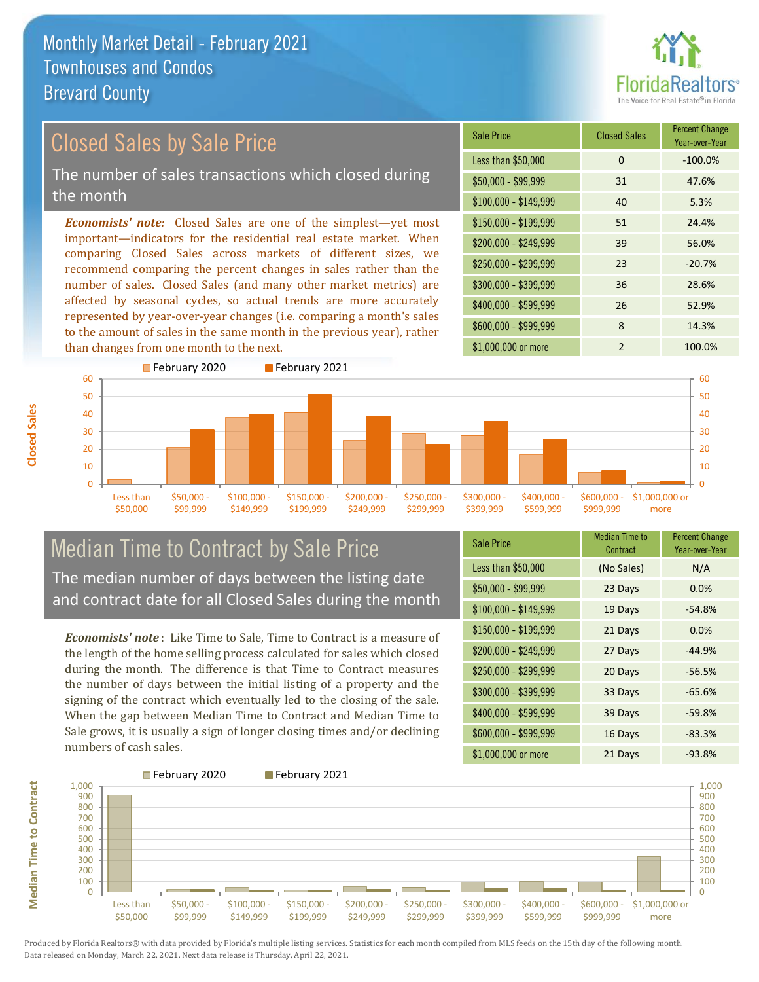

#### *Economists' note:* Closed Sales are one of the simplest—yet most important—indicators for the residential real estate market. When comparing Closed Sales across markets of different sizes, we recommend comparing the percent changes in sales rather than the number of sales. Closed Sales (and many other market metrics) are affected by seasonal cycles, so actual trends are more accurately represented by year-over-year changes (i.e. comparing a month's sales to the amount of sales in the same month in the previous year), rather than changes from one month to the next. \$1,000,000 or more 2 100.0%  $$250,000 - $299,999$  23 -20.7% \$300,000 - \$399,999 36 28.6% \$400,000 - \$599,999 26 52.9% \$600,000 - \$999,999 8 14.3% \$150,000 - \$199,999 51 24.4% \$200,000 - \$249,999 39 56.0% \$100,000 - \$149,999 40 5.3% Sale Price Closed Sales Percent Change Year-over-Year Less than \$50,000 0 0 -100.0% \$50,000 - \$99,999 31 47.6% Closed Sales by Sale Price The number of sales transactions which closed during the month



### Median Time to Contract by Sale Price The median number of days between the listing date and contract date for all Closed Sales during the month

*Economists' note* : Like Time to Sale, Time to Contract is a measure of the length of the home selling process calculated for sales which closed during the month. The difference is that Time to Contract measures the number of days between the initial listing of a property and the signing of the contract which eventually led to the closing of the sale. When the gap between Median Time to Contract and Median Time to Sale grows, it is usually a sign of longer closing times and/or declining numbers of cash sales.

| <b>Sale Price</b>     | <b>Median Time to</b><br>Contract | <b>Percent Change</b><br>Year-over-Year |
|-----------------------|-----------------------------------|-----------------------------------------|
| Less than \$50,000    | (No Sales)                        | N/A                                     |
| $$50,000 - $99,999$   | 23 Days                           | 0.0%                                    |
| $$100,000 - $149,999$ | 19 Days                           | $-54.8%$                                |
| $$150,000 - $199,999$ | 21 Days                           | 0.0%                                    |
| \$200,000 - \$249,999 | 27 Days                           | $-44.9%$                                |
| \$250,000 - \$299,999 | 20 Days                           | $-56.5%$                                |
| \$300,000 - \$399,999 | 33 Days                           | $-65.6%$                                |
| \$400,000 - \$599,999 | 39 Days                           | $-59.8%$                                |
| \$600,000 - \$999,999 | 16 Days                           | $-83.3%$                                |
| \$1,000,000 or more   | 21 Days                           | $-93.8%$                                |



Produced by Florida Realtors® with data provided by Florida's multiple listing services. Statistics for each month compiled from MLS feeds on the 15th day of the following month. Data released on Monday, March 22, 2021. Next data release is Thursday, April 22, 2021.

**Median Time to Contract**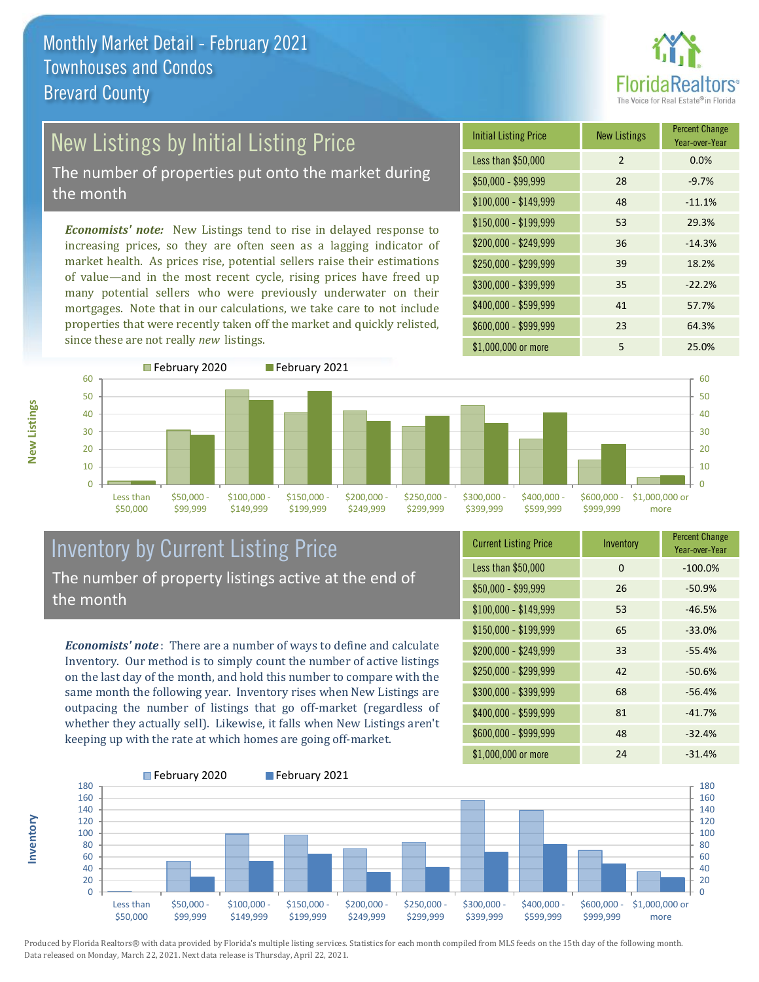

# New Listings by Initial Listing Price

The number of properties put onto the market during the month

*Economists' note:* New Listings tend to rise in delayed response to increasing prices, so they are often seen as a lagging indicator of market health. As prices rise, potential sellers raise their estimations of value—and in the most recent cycle, rising prices have freed up many potential sellers who were previously underwater on their mortgages. Note that in our calculations, we take care to not include properties that were recently taken off the market and quickly relisted, since these are not really *new* listings.





#### Inventory by Current Listing Price The number of property listings active at the end of the month

*Economists' note* : There are a number of ways to define and calculate Inventory. Our method is to simply count the number of active listings on the last day of the month, and hold this number to compare with the same month the following year. Inventory rises when New Listings are outpacing the number of listings that go off-market (regardless of whether they actually sell). Likewise, it falls when New Listings aren't keeping up with the rate at which homes are going off-market.

| <b>Current Listing Price</b> | Inventory | <b>Percent Change</b><br>Year-over-Year |
|------------------------------|-----------|-----------------------------------------|
| Less than \$50,000           | 0         | $-100.0%$                               |
| $$50,000 - $99,999$          | 26        | $-50.9%$                                |
| $$100,000 - $149,999$        | 53        | $-46.5%$                                |
| $$150,000 - $199,999$        | 65        | $-33.0%$                                |
| \$200,000 - \$249,999        | 33        | $-55.4%$                                |
| \$250,000 - \$299,999        | 42        | $-50.6%$                                |
| \$300,000 - \$399,999        | 68        | $-56.4%$                                |
| \$400,000 - \$599,999        | 81        | $-41.7%$                                |
| \$600,000 - \$999,999        | 48        | $-32.4%$                                |
| \$1,000,000 or more          | 24        | $-31.4%$                                |



Produced by Florida Realtors® with data provided by Florida's multiple listing services. Statistics for each month compiled from MLS feeds on the 15th day of the following month. Data released on Monday, March 22, 2021. Next data release is Thursday, April 22, 2021.

**Inventory**